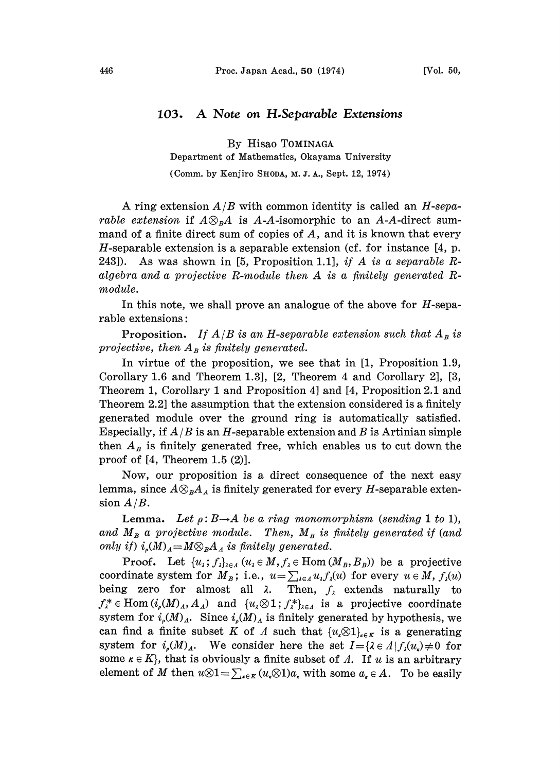## 103. A Note on H.Separable Extensions

By Hisao TOMINAGA

Department of Mathematics, Okayama University

(Comm. by Kenjiro SHODA, M. J. h., Sept. 12, 1974)

A ring extension  $A/B$  with common identity is called an  $H$ -sepa*rable extension* if  $A\otimes_{B}A$  is A-A-isomorphic to an A-A-direct summand of a finite direct sum of copies of  $A$ , and it is known that every H-separable extension is a separable extension (cf. for instance  $[4, p$ . 243]). As was shown in [5, Proposition 1.1], if A is a separable Ralgebra and <sup>a</sup> projective R-module then A is <sup>a</sup> finitely generated Rmodule.

In this note, we shall prove an analogue of the above for  $H$ -separable extensions:

**Proposition.** If  $A/B$  is an H-separable extension such that  $A_B$  is projective, then  $A_B$  is finitely generated.

In virtue of the proposition, we see that in [1, Proposition 1.9, Corollary 1.6 and Theorem 1.3], [2, Theorem 4 and Corollary 2], [3, Theorem 1, Corollary 1 and Proposition 4] and [4, Proposition 2.1 and Theorem 2.2] the assumption that the extension considered is a finitely generated module over the ground ring is automatically satisfied. Especially, if  $A/B$  is an H-separable extension and B is Artinian simple then  $A<sub>B</sub>$  is finitely generated free, which enables us to cut down the proof of [4, Theorem 1.5 (2)].

Now, our proposition is a direct consequence of the next easy lemma, since  $A\otimes_{B}A_{A}$  is finitely generated for every H-separable extension  $A/B$ .

**Lemma.** Let  $\rho: B \rightarrow A$  be a ring monomorphism (sending 1 to 1), and  $M_B$  a projective module. Then,  $M_B$  is finitely generated if (and only if)  $i_s(M)_A=M\otimes_B A_A$  is finitely generated.

**Proof.** Let  $\{u_i; f_i\}_{i \in A}$   $(u_i \in M, f_i \in \text{Hom}(M_B, B_B))$  be a projective coordinate system for  $M_B$ ; i.e.,  $u = \sum_{i \in A} u_i f_i(u)$  for every  $u \in M$ ,  $f_i(u)$ being zero for almost all  $\lambda$ . Then,  $f_{\lambda}$  extends naturally to  $f^*_\lambda \in \text{Hom}(i_\nu(M)_A,A_A)$  and  $\{u_\lambda \otimes 1; f^*_\lambda\}_{\lambda \in A}$  is a projective coordinate system for  $i_{\rho}(M)_{A}$ . Since  $i_{\rho}(M)_{A}$  is finitely generated by hypothesis, we can find a finite subset K of A such that  $\{u_{k} \otimes 1\}_{k \in K}$  is a generating system for  $i_{\rho}(M)_{A}$ . We consider here the set  $I = {\lambda \in A | f_{\lambda}(u_{\rho}) \neq 0}$  for some  $\kappa \in K$ , that is obviously a finite subset of A. If u is an arbitrary element of M then  $u\otimes 1=\sum_{k\in K}(u_k\otimes 1)a_k$  with some  $a_k\in A$ . To be easily